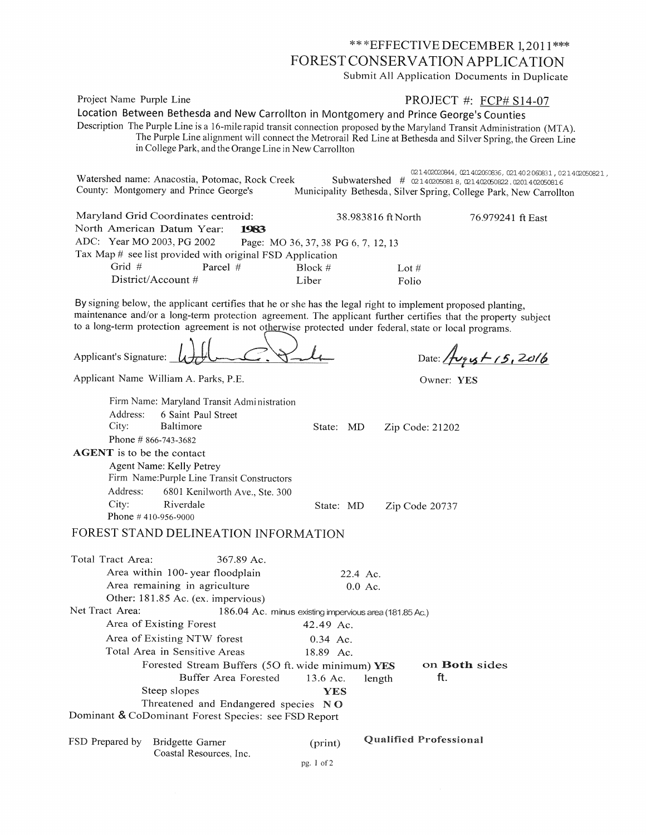\*\*\* EFFECTIVE DECEMBER 1,2011 \*\*\* FOREST CONSERVATION APPLICATION

Submit All Application Documents in Duplicate

Project Name Purple Line

## PROJECT #: FCP# S14-07

Location Between Bethesda and New Carrollton in Montgomery and Prince George's Counties Description The Purple Line is a 16-mile rapid transit connection proposed by the Maryland Transit Administration (MTA). The Purple Line alignment will connect the Metrorail Red Line at Bethesda and Silver Spring, the Green Line in College Park, and the Orange Line in New Carrollton

| Watershed name: Anacostia, Potomac, Rock Creek<br>County: Montgomery and Prince George's |                                     |                    | 021402020844, 021402060836, 021402060831, 021402050821,<br>Subwatershed # 021402050818, 021402050822.0201402050816<br>Municipality Bethesda, Silver Spring, College Park, New Carrollton |
|------------------------------------------------------------------------------------------|-------------------------------------|--------------------|------------------------------------------------------------------------------------------------------------------------------------------------------------------------------------------|
| Maryland Grid Coordinates centroid:                                                      |                                     | 38.983816 ft North | 76.979241 ft East                                                                                                                                                                        |
| North American Datum Year:<br>1983                                                       |                                     |                    |                                                                                                                                                                                          |
| ADC: Year MO 2003, PG 2002                                                               | Page: MO 36, 37, 38 PG 6, 7, 12, 13 |                    |                                                                                                                                                                                          |
| Tax Map # see list provided with original FSD Application                                |                                     |                    |                                                                                                                                                                                          |
| Grid $#$<br>Parcel $#$                                                                   | Block#                              | Lot $#$            |                                                                                                                                                                                          |
| District/Account $#$                                                                     | Liber                               | Folio              |                                                                                                                                                                                          |

By signing below, the applicant certifies that he or she has the legal right to implement proposed planting, maintenance and/or a long-term protection agreement. The applicant further certifies that the property subject to a long-term protection agreement is not otherwise protected under federal, state or local programs.

Applicant's Signature:

Date:  $A \rightarrow 15,2016$ 

Owner: YES

Zip Code 20737

Applicant Name William A. Parks, P.E.

Phone #410-956-9000

City:

|                        | Firm Name: Maryland Transit Administration  |           |                 |
|------------------------|---------------------------------------------|-----------|-----------------|
|                        | Address: 6 Saint Paul Street                |           |                 |
|                        | City: Baltimore                             | State: MD | Zip Code: 21202 |
| Phone # $866-743-3682$ |                                             |           |                 |
|                        | <b>AGENT</b> is to be the contact           |           |                 |
|                        | Agent Name: Kelly Petrey                    |           |                 |
|                        | Firm Name: Purple Line Transit Constructors |           |                 |
|                        | Address: 6801 Kenilworth Ave., Ste. 300     |           |                 |

State: MD

## FOREST STAND DELINEATION INFORMATION

Riverdale

| Total Tract Area: | 367.89 Ac.                                             |            |           |                               |
|-------------------|--------------------------------------------------------|------------|-----------|-------------------------------|
|                   | Area within 100-year floodplain                        |            | 22.4 Ac.  |                               |
|                   | Area remaining in agriculture                          |            | $0.0$ Ac. |                               |
|                   | Other: 181.85 Ac. (ex. impervious)                     |            |           |                               |
| Net Tract Area:   | 186.04 Ac. minus existing impervious area (181.85 Ac.) |            |           |                               |
|                   | Area of Existing Forest                                | 42.49 Ac.  |           |                               |
|                   | Area of Existing NTW forest                            | $0.34$ Ac. |           |                               |
|                   | Total Area in Sensitive Areas                          | 18.89 Ac.  |           |                               |
|                   | Forested Stream Buffers (50 ft. wide minimum) YES      |            |           | on <b>Both</b> sides          |
|                   | Buffer Area Forested                                   | 13.6 Ac.   | length    | ft.                           |
|                   | Steep slopes                                           | YES        |           |                               |
|                   | Threatened and Endangered species NO                   |            |           |                               |
|                   | Dominant & CoDominant Forest Species: see FSD Report   |            |           |                               |
|                   |                                                        |            |           |                               |
| FSD Prepared by   | Bridgette Garner                                       | (print)    |           | <b>Qualified Professional</b> |
|                   | Coastal Resources, Inc.                                |            |           |                               |

pg. I of 2